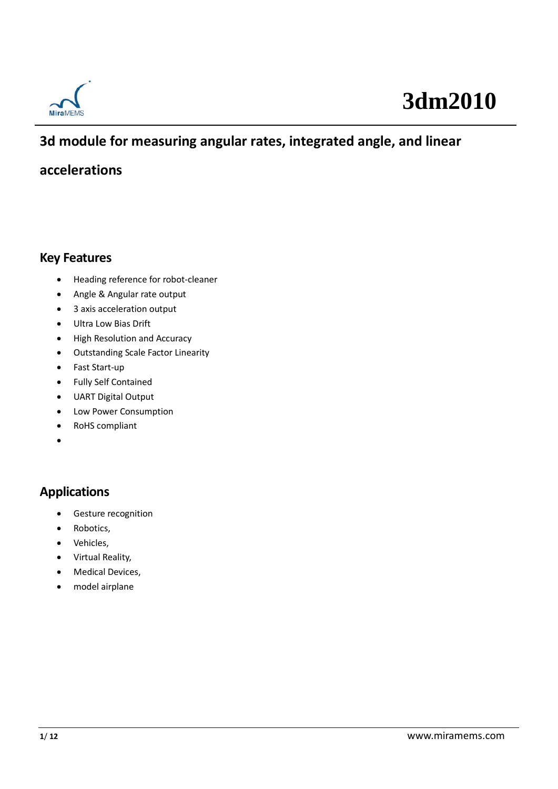

# **3dm2010**

### **3d module for measuring angular rates, integrated angle, and linear**

#### **accelerations**

#### **Key Features**

- Heading reference for robot-cleaner
- Angle & Angular rate output
- 3 axis acceleration output
- Ultra Low Bias Drift
- High Resolution and Accuracy
- Outstanding Scale Factor Linearity
- Fast Start-up
- Fully Self Contained
- UART Digital Output
- Low Power Consumption
- RoHS compliant
- •

#### **Applications**

- Gesture recognition
- Robotics,
- Vehicles,
- Virtual Reality,
- Medical Devices,
- model airplane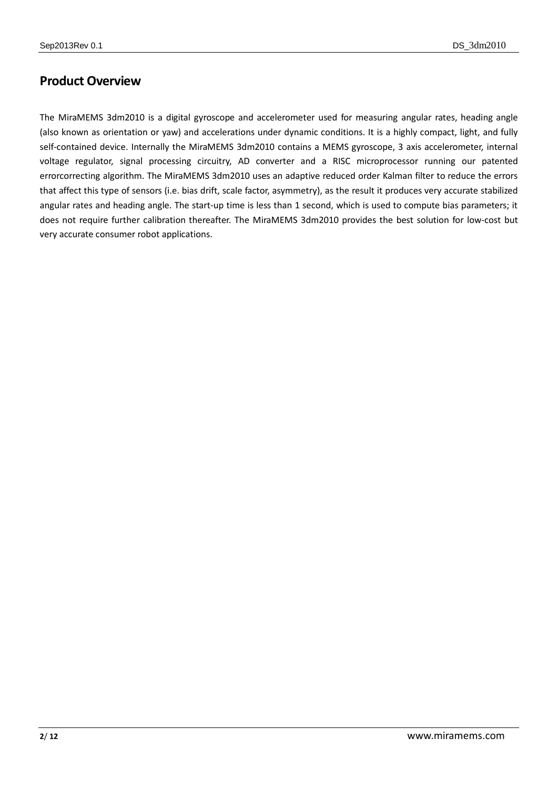#### **Product Overview**

The MiraMEMS 3dm2010 is a digital gyroscope and accelerometer used for measuring angular rates, heading angle (also known as orientation or yaw) and accelerations under dynamic conditions. It is a highly compact, light, and fully self-contained device. Internally the MiraMEMS 3dm2010 contains a MEMS gyroscope, 3 axis accelerometer, internal voltage regulator, signal processing circuitry, AD converter and a RISC microprocessor running our patented errorcorrecting algorithm. The MiraMEMS 3dm2010 uses an adaptive reduced order Kalman filter to reduce the errors that affect this type of sensors (i.e. bias drift, scale factor, asymmetry), as the result it produces very accurate stabilized angular rates and heading angle. The start-up time is less than 1 second, which is used to compute bias parameters; it does not require further calibration thereafter. The MiraMEMS 3dm2010 provides the best solution for low-cost but very accurate consumer robot applications.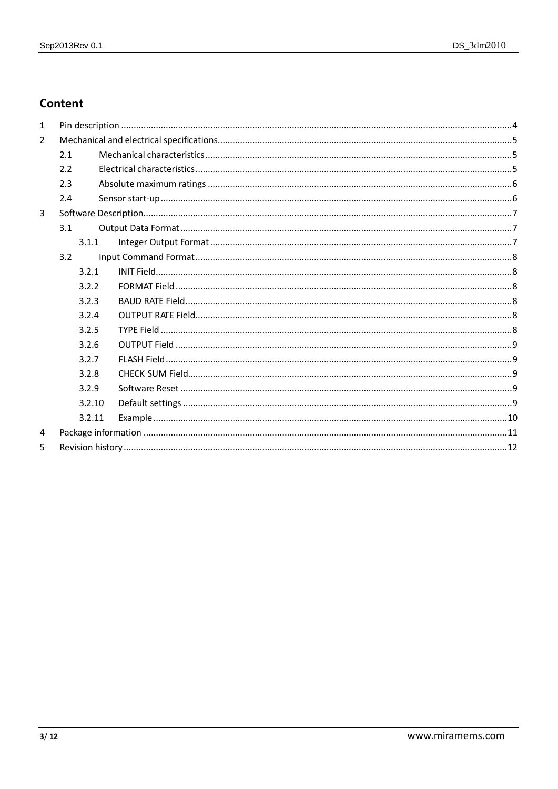#### Content

| $\mathbf{1}$   |        |  |  |  |  |  |
|----------------|--------|--|--|--|--|--|
| $\overline{2}$ |        |  |  |  |  |  |
|                | 2.1    |  |  |  |  |  |
|                | 2.2    |  |  |  |  |  |
|                | 2.3    |  |  |  |  |  |
|                | 2.4    |  |  |  |  |  |
| $\overline{3}$ |        |  |  |  |  |  |
|                | 3.1    |  |  |  |  |  |
|                | 3.1.1  |  |  |  |  |  |
|                | 3.2    |  |  |  |  |  |
|                | 3.2.1  |  |  |  |  |  |
|                | 3.2.2  |  |  |  |  |  |
|                | 3.2.3  |  |  |  |  |  |
|                | 3.2.4  |  |  |  |  |  |
|                | 3.2.5  |  |  |  |  |  |
|                | 3.2.6  |  |  |  |  |  |
|                | 3.2.7  |  |  |  |  |  |
|                | 3.2.8  |  |  |  |  |  |
|                | 3.2.9  |  |  |  |  |  |
|                | 3.2.10 |  |  |  |  |  |
|                | 3.2.11 |  |  |  |  |  |
| 4              |        |  |  |  |  |  |
| 5              |        |  |  |  |  |  |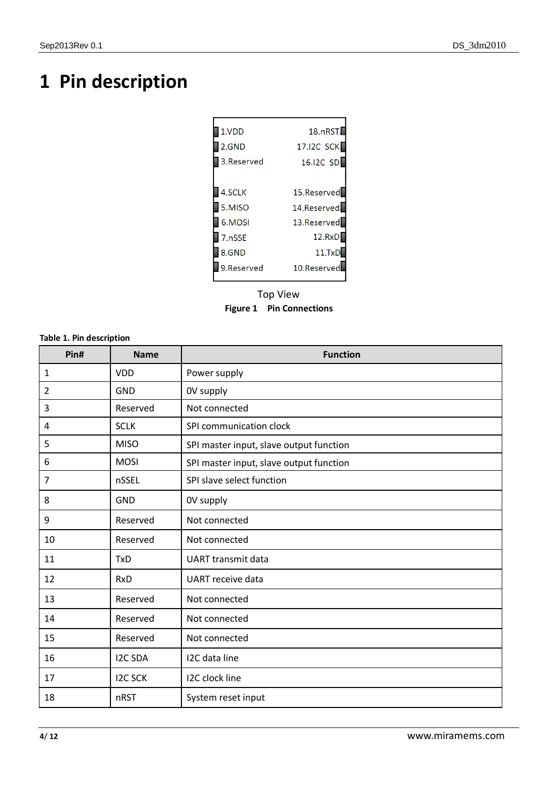## <span id="page-3-0"></span>**Pin description**

| 1.VDD      | 18.nRST           |
|------------|-------------------|
| 2.GND      | <b>17.I2C SCK</b> |
| 3.Reserved | 16.I2C SD         |
|            |                   |
| 4.SCLK     | 15.Reserved       |
| 5.MISO     | 14.Reserved       |
| 6.MOSI     | 13.Reserved       |
| 7.nSSE     | 12.RxD            |
| 8.GND      | 11.TxD            |
| 9.Reserved | 10.Reserved       |
|            |                   |

Top View **Figure 1 Pin Connections**

#### **Table 1. Pin description**

| Pin#           | <b>Name</b>    | <b>Function</b>                         |  |
|----------------|----------------|-----------------------------------------|--|
| $\mathbf{1}$   | <b>VDD</b>     | Power supply                            |  |
| 2              | GND            | OV supply                               |  |
| $\overline{3}$ | Reserved       | Not connected                           |  |
| 4              | <b>SCLK</b>    | SPI communication clock                 |  |
| 5              | <b>MISO</b>    | SPI master input, slave output function |  |
| 6              | <b>MOSI</b>    | SPI master input, slave output function |  |
| $\overline{7}$ | nSSEL          | SPI slave select function               |  |
| 8              | GND            | OV supply                               |  |
| 9              | Reserved       | Not connected                           |  |
| 10             | Reserved       | Not connected                           |  |
| 11             | <b>TxD</b>     | <b>UART</b> transmit data               |  |
| 12             | <b>RxD</b>     | <b>UART</b> receive data                |  |
| 13             | Reserved       | Not connected                           |  |
| 14             | Reserved       | Not connected                           |  |
| 15             | Reserved       | Not connected                           |  |
| 16             | <b>I2C SDA</b> | I2C data line                           |  |
| 17             | <b>I2C SCK</b> | I2C clock line                          |  |
| 18             | nRST           | System reset input                      |  |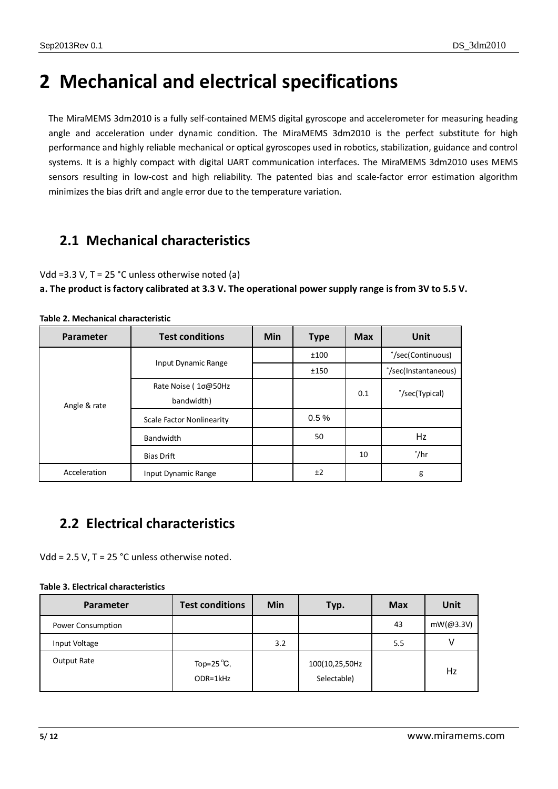## <span id="page-4-0"></span>**2 Mechanical and electrical specifications**

The MiraMEMS 3dm2010 is a fully self-contained MEMS digital gyroscope and accelerometer for measuring heading angle and acceleration under dynamic condition. The MiraMEMS 3dm2010 is the perfect substitute for high performance and highly reliable mechanical or optical gyroscopes used in robotics, stabilization, guidance and control systems. It is a highly compact with digital UART communication interfaces. The MiraMEMS 3dm2010 uses MEMS sensors resulting in low-cost and high reliability. The patented bias and scale-factor error estimation algorithm minimizes the bias drift and angle error due to the temperature variation.

#### <span id="page-4-1"></span>**2.1 Mechanical characteristics**

Vdd =3.3 V, T = 25 °C unless otherwise noted (a)

**a. The product is factory calibrated at 3.3 V. The operational power supply range is from 3V to 5.5 V.**

| Parameter    | <b>Test conditions</b>            | <b>Min</b> | <b>Type</b> | <b>Max</b> | Unit                 |
|--------------|-----------------------------------|------------|-------------|------------|----------------------|
|              |                                   |            | ±100        |            | °/sec(Continuous)    |
|              | Input Dynamic Range               |            | ±150        |            | °/sec(Instantaneous) |
| Angle & rate | Rate Noise (10@50Hz<br>bandwidth) |            |             | 0.1        | °/sec(Typical)       |
|              | Scale Factor Nonlinearity         |            | 0.5%        |            |                      |
|              | Bandwidth                         |            | 50          |            | Hz                   |
|              | <b>Bias Drift</b>                 |            |             | 10         | $^{\circ}/$ hr       |
| Acceleration | Input Dynamic Range               |            | ±2          |            | g                    |

#### **Table 2. Mechanical characteristic**

#### <span id="page-4-2"></span>**2.2 Electrical characteristics**

Vdd = 2.5 V, T = 25 °C unless otherwise noted.

#### **Table 3. Electrical characteristics**

| Parameter         | <b>Test conditions</b>                    | Min | Typ.                          | <b>Max</b> | <b>Unit</b>       |
|-------------------|-------------------------------------------|-----|-------------------------------|------------|-------------------|
| Power Consumption |                                           |     |                               | 43         | $mW(\omega$ 3.3V) |
| Input Voltage     |                                           | 3.2 |                               | 5.5        |                   |
| Output Rate       | Top=25 $\mathrm{^{\circ}C}$ ,<br>ODR=1kHz |     | 100(10,25,50Hz<br>Selectable) |            | Hz                |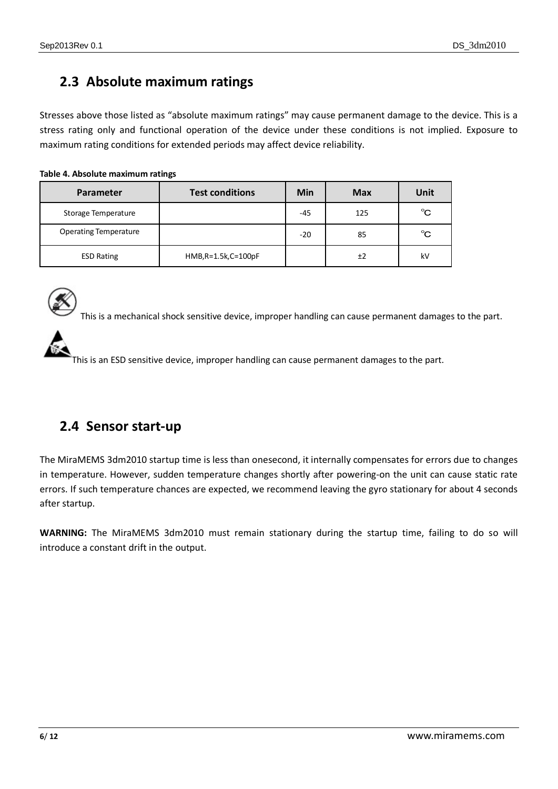### <span id="page-5-0"></span>**2.3 Absolute maximum ratings**

Stresses above those listed as "absolute maximum ratings" may cause permanent damage to the device. This is a stress rating only and functional operation of the device under these conditions is not implied. Exposure to maximum rating conditions for extended periods may affect device reliability.

| Table 4. Absolute maximum ratings |  |  |  |  |  |
|-----------------------------------|--|--|--|--|--|
|-----------------------------------|--|--|--|--|--|

| Parameter                    | <b>Test conditions</b> |       | <b>Max</b> | Unit |
|------------------------------|------------------------|-------|------------|------|
| Storage Temperature          |                        | $-45$ | 125        | °C   |
| <b>Operating Temperature</b> |                        | $-20$ | 85         | °C   |
| <b>ESD Rating</b>            | HMB, R=1.5k, C=100pF   |       | ±2         | kV   |



This is a mechanical shock sensitive device, improper handling can cause permanent damages to the part.

This is an ESD sensitive device, improper handling can cause permanent damages to the part.

### <span id="page-5-1"></span>**2.4 Sensor start-up**

The MiraMEMS 3dm2010 startup time is less than onesecond, it internally compensates for errors due to changes in temperature. However, sudden temperature changes shortly after powering-on the unit can cause static rate errors. If such temperature chances are expected, we recommend leaving the gyro stationary for about 4 seconds after startup.

**WARNING:** The MiraMEMS 3dm2010 must remain stationary during the startup time, failing to do so will introduce a constant drift in the output.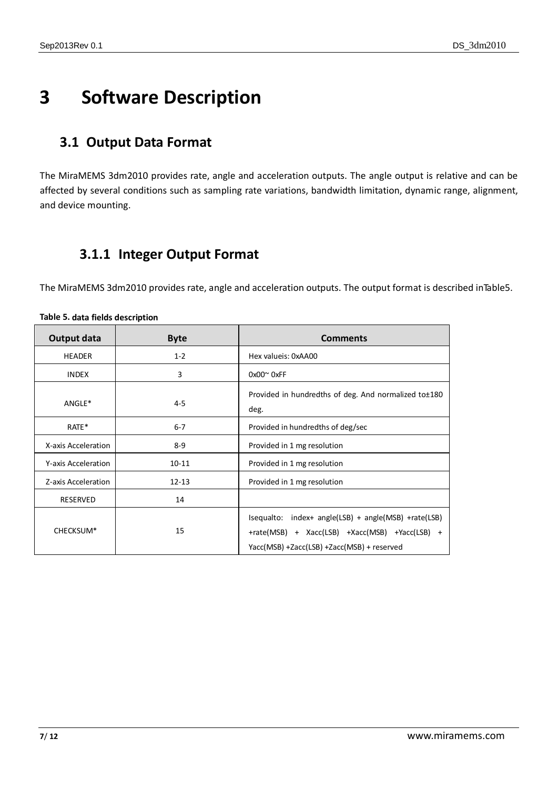## <span id="page-6-0"></span>**3 Software Description**

### <span id="page-6-1"></span>**3.1 Output Data Format**

The MiraMEMS 3dm2010 provides rate, angle and acceleration outputs. The angle output is relative and can be affected by several conditions such as sampling rate variations, bandwidth limitation, dynamic range, alignment, and device mounting.

#### <span id="page-6-2"></span>**3.1.1 Integer Output Format**

The MiraMEMS 3dm2010 provides rate, angle and acceleration outputs. The output format is described inTable5.

| Output data         | <b>Byte</b> | <b>Comments</b>                                                                                                                                         |
|---------------------|-------------|---------------------------------------------------------------------------------------------------------------------------------------------------------|
| <b>HEADER</b>       | $1 - 2$     | Hex valueis: 0xAA00                                                                                                                                     |
| <b>INDEX</b>        | 3           | $0x00^{\circ}$ OxFF                                                                                                                                     |
| ANGLE*              | $4 - 5$     | Provided in hundredths of deg. And normalized to±180<br>deg.                                                                                            |
| RATE*               | $6 - 7$     | Provided in hundredths of deg/sec                                                                                                                       |
| X-axis Acceleration | $8 - 9$     | Provided in 1 mg resolution                                                                                                                             |
| Y-axis Acceleration | $10 - 11$   | Provided in 1 mg resolution                                                                                                                             |
| Z-axis Acceleration | $12 - 13$   | Provided in 1 mg resolution                                                                                                                             |
| <b>RESERVED</b>     | 14          |                                                                                                                                                         |
| CHECKSUM*           | 15          | $Isequalto: index+ angle(LSB) + angle(MSB) + rate(LSB)$<br>+rate(MSB) + Xacc(LSB) +Xacc(MSB) +Yacc(LSB) +<br>Yacc(MSB) +Zacc(LSB) +Zacc(MSB) + reserved |

#### **Table 5. data fields description**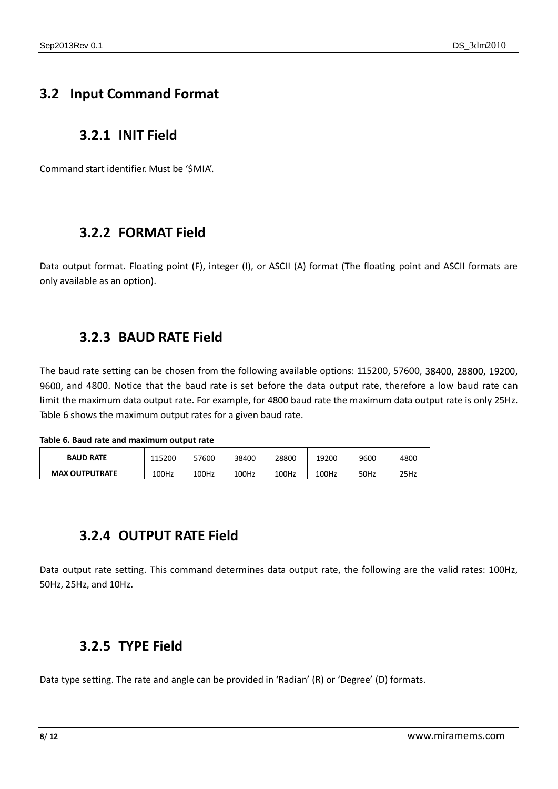### <span id="page-7-1"></span><span id="page-7-0"></span>**3.2 Input Command Format**

#### **3.2.1 INIT Field**

<span id="page-7-2"></span>Command start identifier. Must be '\$MIA'.

#### **3.2.2 FORMAT Field**

Data output format. Floating point (F), integer (I), or ASCII (A) format (The floating point and ASCII formats are only available as an option).

#### <span id="page-7-3"></span>**3.2.3 BAUD RATE Field**

The baud rate setting can be chosen from the following available options: 115200, 57600, 38400, 28800, 19200, 9600, and 4800. Notice that the baud rate is set before the data output rate, therefore a low baud rate can limit the maximum data output rate. For example, for 4800 baud rate the maximum data output rate is only 25Hz. Table 6 shows the maximum output rates for a given baud rate.

#### **Table 6. Baud rate and maximum output rate**

| <b>BAUD RATE</b>      | 115200 | 57600 | 38400 | 28800 | 19200 | 9600 | 4800 |
|-----------------------|--------|-------|-------|-------|-------|------|------|
| <b>MAX OUTPUTRATE</b> | 100Hz  | 100Hz | 100Hz | 100Hz | 100Hz | 50Hz | 25Hz |

#### <span id="page-7-4"></span>**3.2.4 OUTPUT RATE Field**

Data output rate setting. This command determines data output rate, the following are the valid rates: 100Hz, 50Hz, 25Hz, and 10Hz.

#### <span id="page-7-5"></span>**3.2.5 TYPE Field**

Data type setting. The rate and angle can be provided in 'Radian' (R) or 'Degree' (D) formats.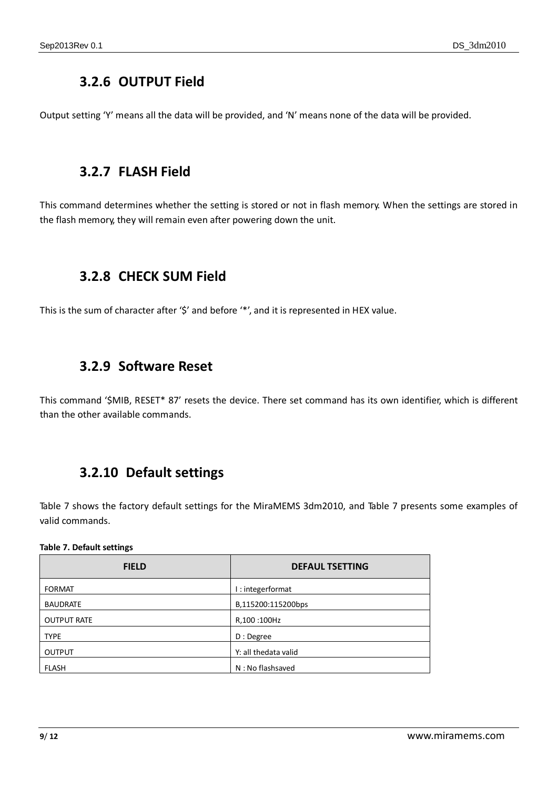### <span id="page-8-0"></span>**3.2.6 OUTPUT Field**

<span id="page-8-1"></span>Output setting 'Y' means all the data will be provided, and 'N' means none of the data will be provided.

#### **3.2.7 FLASH Field**

This command determines whether the setting is stored or not in flash memory. When the settings are stored in the flash memory, they will remain even after powering down the unit.

#### <span id="page-8-2"></span>**3.2.8 CHECK SUM Field**

<span id="page-8-3"></span>This is the sum of character after '\$' and before '\*', and it is represented in HEX value.

#### **3.2.9 Software Reset**

This command '\$MIB, RESET\* 87' resets the device. There set command has its own identifier, which is different than the other available commands.

#### <span id="page-8-4"></span>**3.2.10 Default settings**

Table 7 shows the factory default settings for the MiraMEMS 3dm2010, and Table 7 presents some examples of valid commands.

#### **Table 7. Default settings**

| <b>FIELD</b>       | <b>DEFAUL TSETTING</b> |
|--------------------|------------------------|
| <b>FORMAT</b>      | I: integerformat       |
| <b>BAUDRATE</b>    | B,115200:115200bps     |
| <b>OUTPUT RATE</b> | R,100:100Hz            |
| <b>TYPE</b>        | D : Degree             |
| <b>OUTPUT</b>      | Y: all thedata valid   |
| <b>FLASH</b>       | N: No flashsaved       |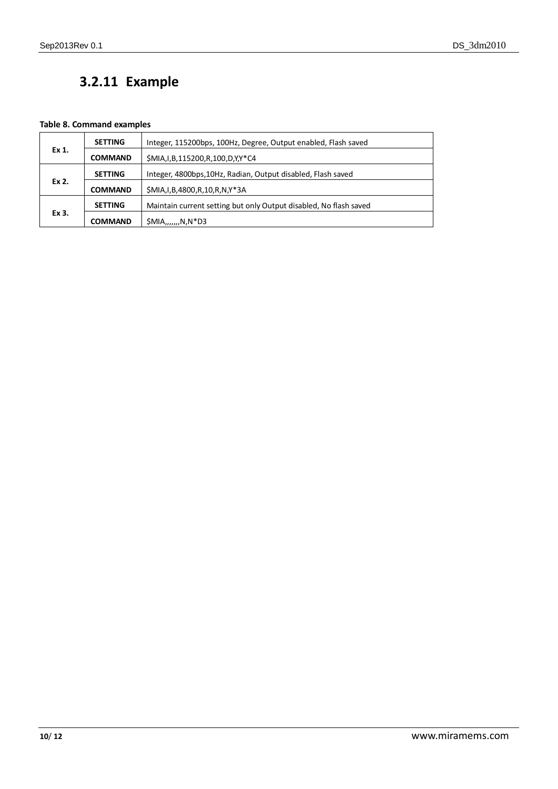### <span id="page-9-0"></span>**3.2.11 Example**

#### **Table 8. Command examples**

|       | <b>SETTING</b> | Integer, 115200bps, 100Hz, Degree, Output enabled, Flash saved    |
|-------|----------------|-------------------------------------------------------------------|
| Ex 1. | <b>COMMAND</b> | \$MIA, I, B, 115200, R, 100, D, Y, Y*C4                           |
|       | <b>SETTING</b> | Integer, 4800bps, 10Hz, Radian, Output disabled, Flash saved      |
| Ex 2. | <b>COMMAND</b> | \$MIA, I, B, 4800, R, 10, R, N, Y*3A                              |
|       | <b>SETTING</b> | Maintain current setting but only Output disabled, No flash saved |
| Ex 3. | <b>COMMAND</b> | $$MIA$ <sub>1</sub> , 1, N, N * D 3                               |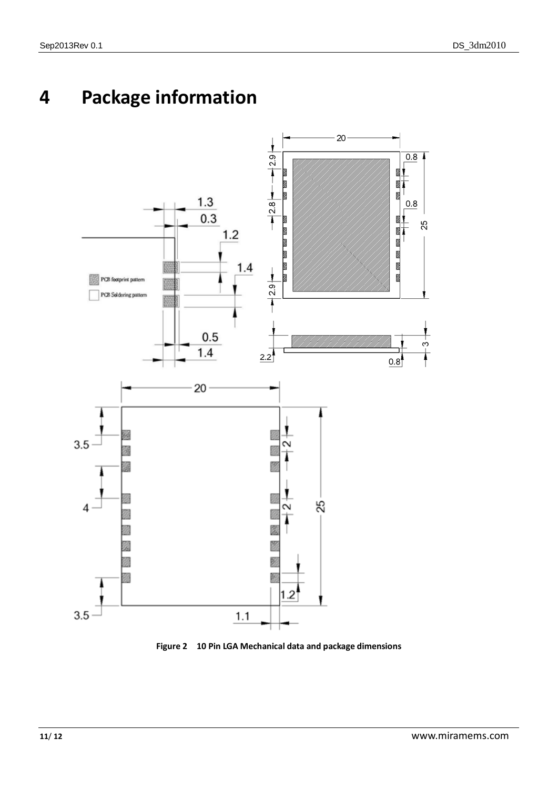## <span id="page-10-0"></span>**4 Package information**



**Figure 2 10 Pin LGA Mechanical data and package dimensions**